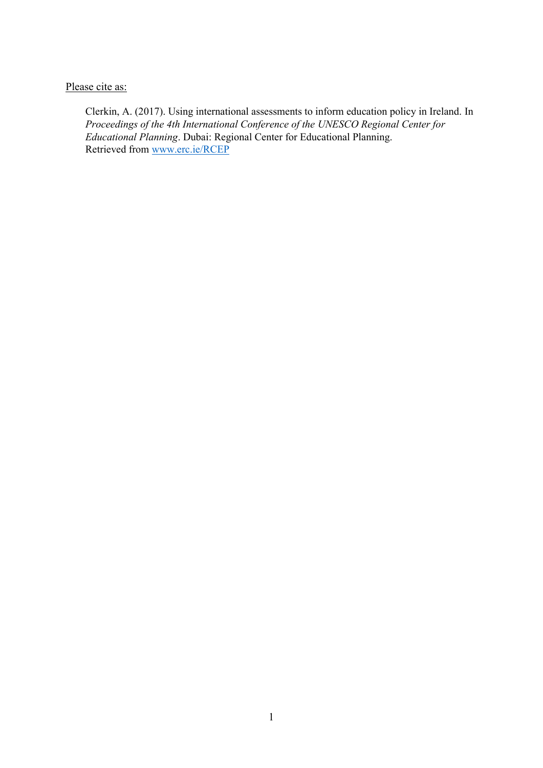Please cite as:

Clerkin, A. (2017). Using international assessments to inform education policy in Ireland. In *Proceedings of the 4th International Conference of the UNESCO Regional Center for Educational Planning*. Dubai: Regional Center for Educational Planning. Retrieved from [www.erc.ie/RCEP](http://www.erc.ie/RCEP)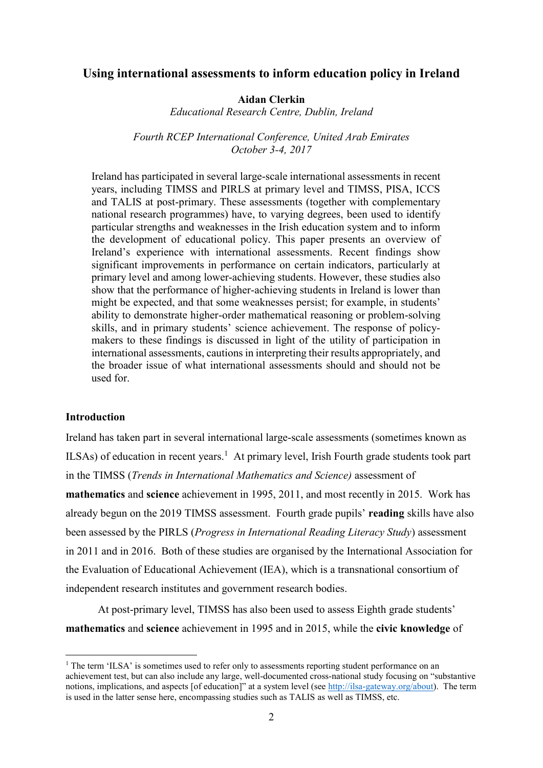## **Using international assessments to inform education policy in Ireland**

#### **Aidan Clerkin**

*Educational Research Centre, Dublin, Ireland*

*Fourth RCEP International Conference, United Arab Emirates October 3-4, 2017*

Ireland has participated in several large-scale international assessments in recent years, including TIMSS and PIRLS at primary level and TIMSS, PISA, ICCS and TALIS at post-primary. These assessments (together with complementary national research programmes) have, to varying degrees, been used to identify particular strengths and weaknesses in the Irish education system and to inform the development of educational policy. This paper presents an overview of Ireland's experience with international assessments. Recent findings show significant improvements in performance on certain indicators, particularly at primary level and among lower-achieving students. However, these studies also show that the performance of higher-achieving students in Ireland is lower than might be expected, and that some weaknesses persist; for example, in students' ability to demonstrate higher-order mathematical reasoning or problem-solving skills, and in primary students' science achievement. The response of policymakers to these findings is discussed in light of the utility of participation in international assessments, cautions in interpreting their results appropriately, and the broader issue of what international assessments should and should not be used for.

## **Introduction**

1

Ireland has taken part in several international large-scale assessments (sometimes known as ILSAs) of education in recent years.<sup>1</sup> At primary level, Irish Fourth grade students took part in the TIMSS (*Trends in International Mathematics and Science)* assessment of **mathematics** and **science** achievement in 1995, 2011, and most recently in 2015. Work has already begun on the 2019 TIMSS assessment. Fourth grade pupils' **reading** skills have also been assessed by the PIRLS (*Progress in International Reading Literacy Study*) assessment in 2011 and in 2016. Both of these studies are organised by the International Association for the Evaluation of Educational Achievement (IEA), which is a transnational consortium of independent research institutes and government research bodies.

At post-primary level, TIMSS has also been used to assess Eighth grade students' **mathematics** and **science** achievement in 1995 and in 2015, while the **civic knowledge** of

 $1$  The term 'ILSA' is sometimes used to refer only to assessments reporting student performance on an achievement test, but can also include any large, well-documented cross-national study focusing on "substantive notions, implications, and aspects [of education]" at a system level (see [http://ilsa-gateway.org/about\)](http://ilsa-gateway.org/about). The term is used in the latter sense here, encompassing studies such as TALIS as well as TIMSS, etc.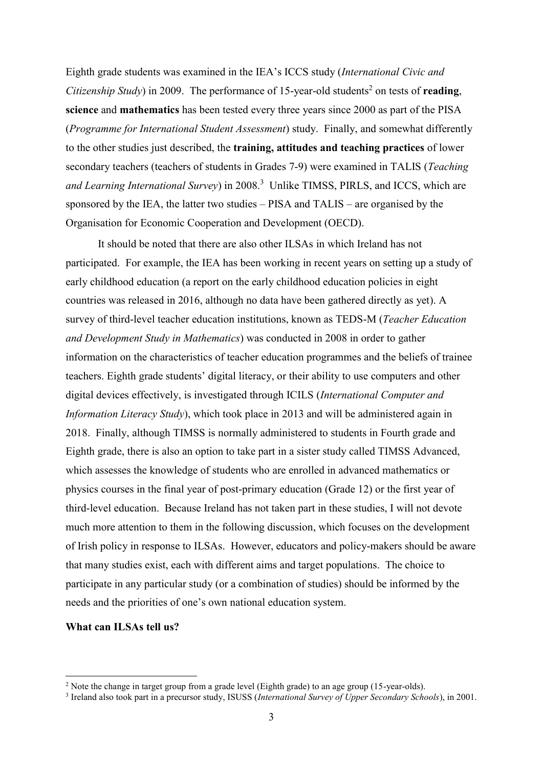Eighth grade students was examined in the IEA's ICCS study (*International Civic and Citizenship Study*) in 2009. The performance of 15-year-old students<sup>2</sup> on tests of **reading**, **science** and **mathematics** has been tested every three years since 2000 as part of the PISA (*Programme for International Student Assessment*) study. Finally, and somewhat differently to the other studies just described, the **training, attitudes and teaching practices** of lower secondary teachers (teachers of students in Grades 7-9) were examined in TALIS (*Teaching*  and Learning International Survey) in 2008.<sup>3</sup> Unlike TIMSS, PIRLS, and ICCS, which are sponsored by the IEA, the latter two studies – PISA and TALIS – are organised by the Organisation for Economic Cooperation and Development (OECD).

It should be noted that there are also other ILSAs in which Ireland has not participated. For example, the IEA has been working in recent years on setting up a study of early childhood education (a report on the early childhood education policies in eight countries was released in 2016, although no data have been gathered directly as yet). A survey of third-level teacher education institutions, known as TEDS-M (*Teacher Education and Development Study in Mathematics*) was conducted in 2008 in order to gather information on the characteristics of teacher education programmes and the beliefs of trainee teachers. Eighth grade students' digital literacy, or their ability to use computers and other digital devices effectively, is investigated through ICILS (*International Computer and Information Literacy Study*), which took place in 2013 and will be administered again in 2018. Finally, although TIMSS is normally administered to students in Fourth grade and Eighth grade, there is also an option to take part in a sister study called TIMSS Advanced, which assesses the knowledge of students who are enrolled in advanced mathematics or physics courses in the final year of post-primary education (Grade 12) or the first year of third-level education. Because Ireland has not taken part in these studies, I will not devote much more attention to them in the following discussion, which focuses on the development of Irish policy in response to ILSAs. However, educators and policy-makers should be aware that many studies exist, each with different aims and target populations. The choice to participate in any particular study (or a combination of studies) should be informed by the needs and the priorities of one's own national education system.

## **What can ILSAs tell us?**

<u>.</u>

<sup>&</sup>lt;sup>2</sup> Note the change in target group from a grade level (Eighth grade) to an age group (15-year-olds).

<sup>3</sup> Ireland also took part in a precursor study, ISUSS (*International Survey of Upper Secondary Schools*), in 2001.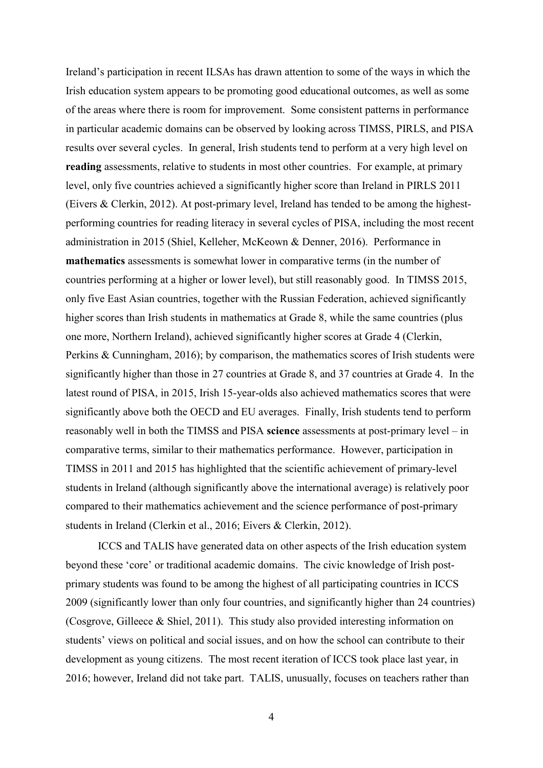Ireland's participation in recent ILSAs has drawn attention to some of the ways in which the Irish education system appears to be promoting good educational outcomes, as well as some of the areas where there is room for improvement. Some consistent patterns in performance in particular academic domains can be observed by looking across TIMSS, PIRLS, and PISA results over several cycles. In general, Irish students tend to perform at a very high level on **reading** assessments, relative to students in most other countries. For example, at primary level, only five countries achieved a significantly higher score than Ireland in PIRLS 2011 (Eivers & Clerkin, 2012). At post-primary level, Ireland has tended to be among the highestperforming countries for reading literacy in several cycles of PISA, including the most recent administration in 2015 (Shiel, Kelleher, McKeown & Denner, 2016). Performance in **mathematics** assessments is somewhat lower in comparative terms (in the number of countries performing at a higher or lower level), but still reasonably good. In TIMSS 2015, only five East Asian countries, together with the Russian Federation, achieved significantly higher scores than Irish students in mathematics at Grade 8, while the same countries (plus one more, Northern Ireland), achieved significantly higher scores at Grade 4 (Clerkin, Perkins & Cunningham, 2016); by comparison, the mathematics scores of Irish students were significantly higher than those in 27 countries at Grade 8, and 37 countries at Grade 4. In the latest round of PISA, in 2015, Irish 15-year-olds also achieved mathematics scores that were significantly above both the OECD and EU averages. Finally, Irish students tend to perform reasonably well in both the TIMSS and PISA **science** assessments at post-primary level – in comparative terms, similar to their mathematics performance. However, participation in TIMSS in 2011 and 2015 has highlighted that the scientific achievement of primary-level students in Ireland (although significantly above the international average) is relatively poor compared to their mathematics achievement and the science performance of post-primary students in Ireland (Clerkin et al., 2016; Eivers & Clerkin, 2012).

ICCS and TALIS have generated data on other aspects of the Irish education system beyond these 'core' or traditional academic domains. The civic knowledge of Irish postprimary students was found to be among the highest of all participating countries in ICCS 2009 (significantly lower than only four countries, and significantly higher than 24 countries) (Cosgrove, Gilleece & Shiel, 2011). This study also provided interesting information on students' views on political and social issues, and on how the school can contribute to their development as young citizens. The most recent iteration of ICCS took place last year, in 2016; however, Ireland did not take part. TALIS, unusually, focuses on teachers rather than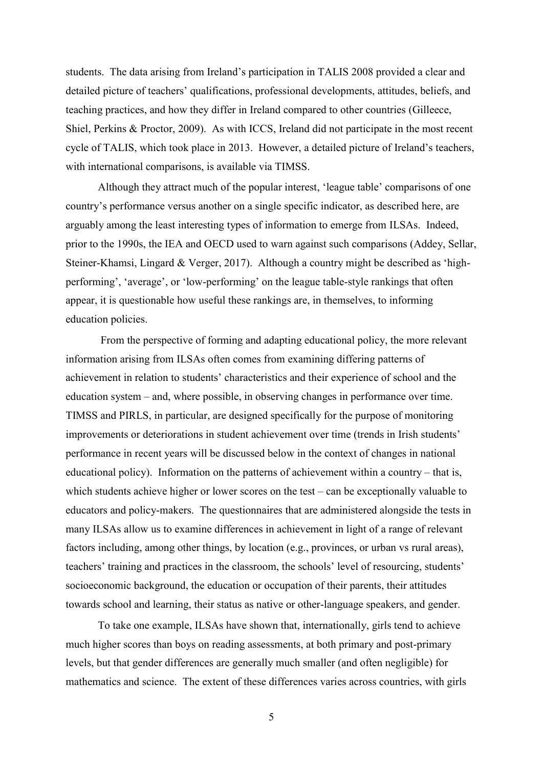students. The data arising from Ireland's participation in TALIS 2008 provided a clear and detailed picture of teachers' qualifications, professional developments, attitudes, beliefs, and teaching practices, and how they differ in Ireland compared to other countries (Gilleece, Shiel, Perkins & Proctor, 2009). As with ICCS, Ireland did not participate in the most recent cycle of TALIS, which took place in 2013. However, a detailed picture of Ireland's teachers, with international comparisons, is available via TIMSS.

Although they attract much of the popular interest, 'league table' comparisons of one country's performance versus another on a single specific indicator, as described here, are arguably among the least interesting types of information to emerge from ILSAs. Indeed, prior to the 1990s, the IEA and OECD used to warn against such comparisons (Addey, Sellar, Steiner-Khamsi, Lingard & Verger, 2017). Although a country might be described as 'highperforming', 'average', or 'low-performing' on the league table-style rankings that often appear, it is questionable how useful these rankings are, in themselves, to informing education policies.

From the perspective of forming and adapting educational policy, the more relevant information arising from ILSAs often comes from examining differing patterns of achievement in relation to students' characteristics and their experience of school and the education system – and, where possible, in observing changes in performance over time. TIMSS and PIRLS, in particular, are designed specifically for the purpose of monitoring improvements or deteriorations in student achievement over time (trends in Irish students' performance in recent years will be discussed below in the context of changes in national educational policy). Information on the patterns of achievement within a country – that is, which students achieve higher or lower scores on the test – can be exceptionally valuable to educators and policy-makers. The questionnaires that are administered alongside the tests in many ILSAs allow us to examine differences in achievement in light of a range of relevant factors including, among other things, by location (e.g., provinces, or urban vs rural areas), teachers' training and practices in the classroom, the schools' level of resourcing, students' socioeconomic background, the education or occupation of their parents, their attitudes towards school and learning, their status as native or other-language speakers, and gender.

To take one example, ILSAs have shown that, internationally, girls tend to achieve much higher scores than boys on reading assessments, at both primary and post-primary levels, but that gender differences are generally much smaller (and often negligible) for mathematics and science. The extent of these differences varies across countries, with girls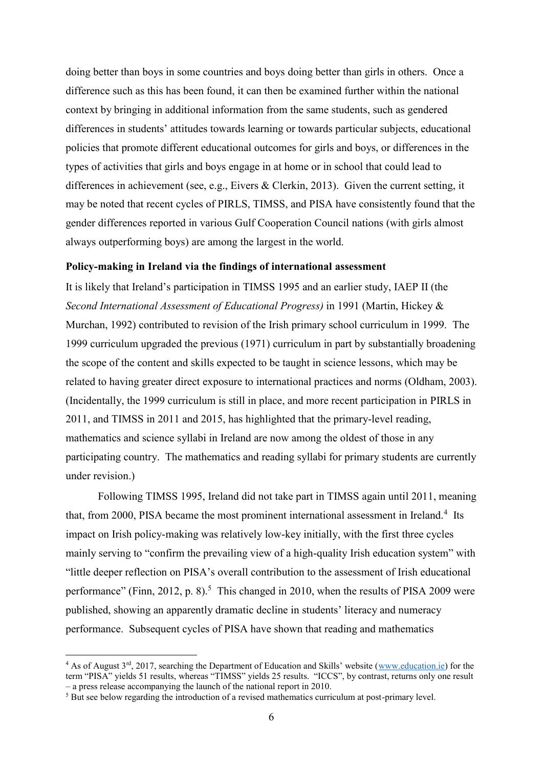doing better than boys in some countries and boys doing better than girls in others. Once a difference such as this has been found, it can then be examined further within the national context by bringing in additional information from the same students, such as gendered differences in students' attitudes towards learning or towards particular subjects, educational policies that promote different educational outcomes for girls and boys, or differences in the types of activities that girls and boys engage in at home or in school that could lead to differences in achievement (see, e.g., Eivers & Clerkin, 2013). Given the current setting, it may be noted that recent cycles of PIRLS, TIMSS, and PISA have consistently found that the gender differences reported in various Gulf Cooperation Council nations (with girls almost always outperforming boys) are among the largest in the world.

#### **Policy-making in Ireland via the findings of international assessment**

It is likely that Ireland's participation in TIMSS 1995 and an earlier study, IAEP II (the *Second International Assessment of Educational Progress)* in 1991 (Martin, Hickey & Murchan, 1992) contributed to revision of the Irish primary school curriculum in 1999. The 1999 curriculum upgraded the previous (1971) curriculum in part by substantially broadening the scope of the content and skills expected to be taught in science lessons, which may be related to having greater direct exposure to international practices and norms (Oldham, 2003). (Incidentally, the 1999 curriculum is still in place, and more recent participation in PIRLS in 2011, and TIMSS in 2011 and 2015, has highlighted that the primary-level reading, mathematics and science syllabi in Ireland are now among the oldest of those in any participating country. The mathematics and reading syllabi for primary students are currently under revision.)

Following TIMSS 1995, Ireland did not take part in TIMSS again until 2011, meaning that, from 2000, PISA became the most prominent international assessment in Ireland.<sup>4</sup> Its impact on Irish policy-making was relatively low-key initially, with the first three cycles mainly serving to "confirm the prevailing view of a high-quality Irish education system" with "little deeper reflection on PISA's overall contribution to the assessment of Irish educational performance" (Finn, 2012, p. 8).<sup>5</sup> This changed in 2010, when the results of PISA 2009 were published, showing an apparently dramatic decline in students' literacy and numeracy performance. Subsequent cycles of PISA have shown that reading and mathematics

<sup>&</sup>lt;sup>4</sup> As of August  $3<sup>rd</sup>$ , 2017, searching the Department of Education and Skills' website ([www.education.ie\)](http://www.education.ie/) for the term "PISA" yields 51 results, whereas "TIMSS" yields 25 results. "ICCS", by contrast, returns only one result – a press release accompanying the launch of the national report in 2010.

<sup>&</sup>lt;sup>5</sup> But see below regarding the introduction of a revised mathematics curriculum at post-primary level.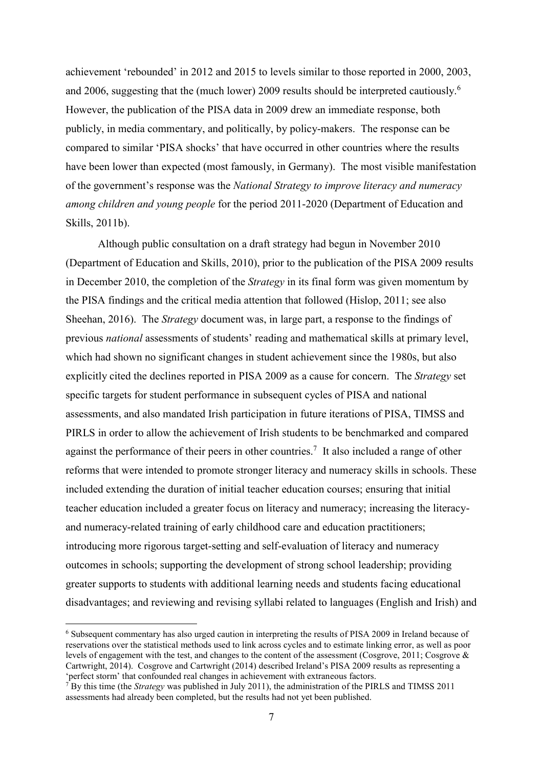achievement 'rebounded' in 2012 and 2015 to levels similar to those reported in 2000, 2003, and 2006, suggesting that the (much lower) 2009 results should be interpreted cautiously.<sup>6</sup> However, the publication of the PISA data in 2009 drew an immediate response, both publicly, in media commentary, and politically, by policy-makers. The response can be compared to similar 'PISA shocks' that have occurred in other countries where the results have been lower than expected (most famously, in Germany). The most visible manifestation of the government's response was the *National Strategy to improve literacy and numeracy among children and young people* for the period 2011-2020 (Department of Education and Skills, 2011b).

Although public consultation on a draft strategy had begun in November 2010 (Department of Education and Skills, 2010), prior to the publication of the PISA 2009 results in December 2010, the completion of the *Strategy* in its final form was given momentum by the PISA findings and the critical media attention that followed (Hislop, 2011; see also Sheehan, 2016). The *Strategy* document was, in large part, a response to the findings of previous *national* assessments of students' reading and mathematical skills at primary level, which had shown no significant changes in student achievement since the 1980s, but also explicitly cited the declines reported in PISA 2009 as a cause for concern. The *Strategy* set specific targets for student performance in subsequent cycles of PISA and national assessments, and also mandated Irish participation in future iterations of PISA, TIMSS and PIRLS in order to allow the achievement of Irish students to be benchmarked and compared against the performance of their peers in other countries.<sup>7</sup> It also included a range of other reforms that were intended to promote stronger literacy and numeracy skills in schools. These included extending the duration of initial teacher education courses; ensuring that initial teacher education included a greater focus on literacy and numeracy; increasing the literacyand numeracy-related training of early childhood care and education practitioners; introducing more rigorous target-setting and self-evaluation of literacy and numeracy outcomes in schools; supporting the development of strong school leadership; providing greater supports to students with additional learning needs and students facing educational disadvantages; and reviewing and revising syllabi related to languages (English and Irish) and

<sup>6</sup> Subsequent commentary has also urged caution in interpreting the results of PISA 2009 in Ireland because of reservations over the statistical methods used to link across cycles and to estimate linking error, as well as poor levels of engagement with the test, and changes to the content of the assessment (Cosgrove, 2011; Cosgrove & Cartwright, 2014). Cosgrove and Cartwright (2014) described Ireland's PISA 2009 results as representing a 'perfect storm' that confounded real changes in achievement with extraneous factors.

 $7$  By this time (the *Strategy* was published in July 2011), the administration of the PIRLS and TIMSS 2011 assessments had already been completed, but the results had not yet been published.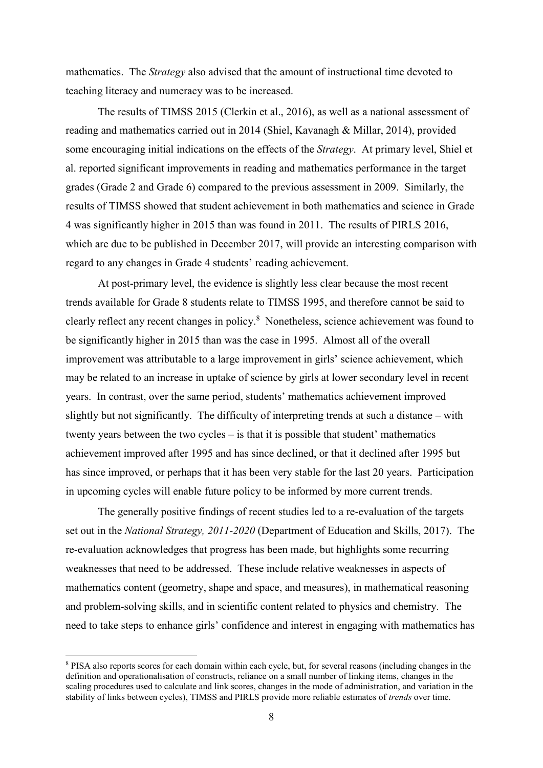mathematics. The *Strategy* also advised that the amount of instructional time devoted to teaching literacy and numeracy was to be increased.

The results of TIMSS 2015 (Clerkin et al., 2016), as well as a national assessment of reading and mathematics carried out in 2014 (Shiel, Kavanagh & Millar, 2014), provided some encouraging initial indications on the effects of the *Strategy*. At primary level, Shiel et al. reported significant improvements in reading and mathematics performance in the target grades (Grade 2 and Grade 6) compared to the previous assessment in 2009. Similarly, the results of TIMSS showed that student achievement in both mathematics and science in Grade 4 was significantly higher in 2015 than was found in 2011. The results of PIRLS 2016, which are due to be published in December 2017, will provide an interesting comparison with regard to any changes in Grade 4 students' reading achievement.

At post-primary level, the evidence is slightly less clear because the most recent trends available for Grade 8 students relate to TIMSS 1995, and therefore cannot be said to clearly reflect any recent changes in policy. 8 Nonetheless, science achievement was found to be significantly higher in 2015 than was the case in 1995. Almost all of the overall improvement was attributable to a large improvement in girls' science achievement, which may be related to an increase in uptake of science by girls at lower secondary level in recent years. In contrast, over the same period, students' mathematics achievement improved slightly but not significantly. The difficulty of interpreting trends at such a distance – with twenty years between the two cycles – is that it is possible that student' mathematics achievement improved after 1995 and has since declined, or that it declined after 1995 but has since improved, or perhaps that it has been very stable for the last 20 years. Participation in upcoming cycles will enable future policy to be informed by more current trends.

The generally positive findings of recent studies led to a re-evaluation of the targets set out in the *National Strategy, 2011-2020* (Department of Education and Skills, 2017). The re-evaluation acknowledges that progress has been made, but highlights some recurring weaknesses that need to be addressed. These include relative weaknesses in aspects of mathematics content (geometry, shape and space, and measures), in mathematical reasoning and problem-solving skills, and in scientific content related to physics and chemistry. The need to take steps to enhance girls' confidence and interest in engaging with mathematics has

<sup>8</sup> PISA also reports scores for each domain within each cycle, but, for several reasons (including changes in the definition and operationalisation of constructs, reliance on a small number of linking items, changes in the scaling procedures used to calculate and link scores, changes in the mode of administration, and variation in the stability of links between cycles), TIMSS and PIRLS provide more reliable estimates of *trends* over time.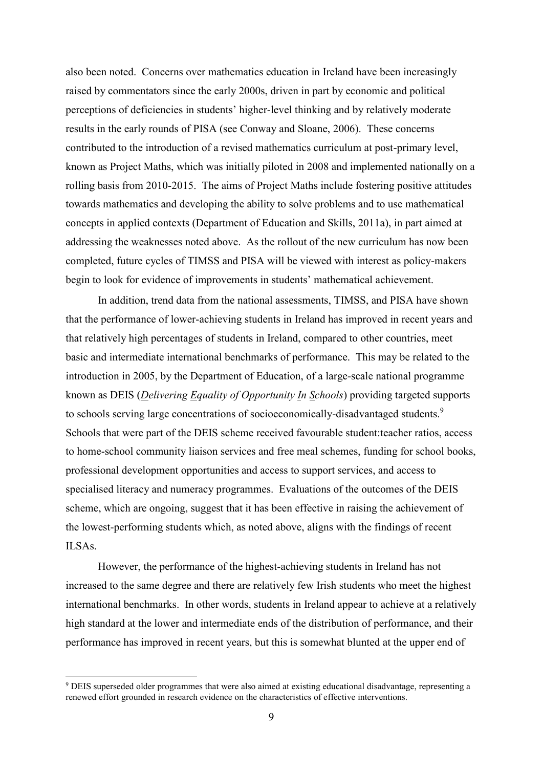also been noted. Concerns over mathematics education in Ireland have been increasingly raised by commentators since the early 2000s, driven in part by economic and political perceptions of deficiencies in students' higher-level thinking and by relatively moderate results in the early rounds of PISA (see Conway and Sloane, 2006). These concerns contributed to the introduction of a revised mathematics curriculum at post-primary level, known as Project Maths, which was initially piloted in 2008 and implemented nationally on a rolling basis from 2010-2015. The aims of Project Maths include fostering positive attitudes towards mathematics and developing the ability to solve problems and to use mathematical concepts in applied contexts (Department of Education and Skills, 2011a), in part aimed at addressing the weaknesses noted above. As the rollout of the new curriculum has now been completed, future cycles of TIMSS and PISA will be viewed with interest as policy-makers begin to look for evidence of improvements in students' mathematical achievement.

In addition, trend data from the national assessments, TIMSS, and PISA have shown that the performance of lower-achieving students in Ireland has improved in recent years and that relatively high percentages of students in Ireland, compared to other countries, meet basic and intermediate international benchmarks of performance. This may be related to the introduction in 2005, by the Department of Education, of a large-scale national programme known as DEIS (*Delivering Equality of Opportunity In Schools*) providing targeted supports to schools serving large concentrations of socioeconomically-disadvantaged students.<sup>9</sup> Schools that were part of the DEIS scheme received favourable student:teacher ratios, access to home-school community liaison services and free meal schemes, funding for school books, professional development opportunities and access to support services, and access to specialised literacy and numeracy programmes. Evaluations of the outcomes of the DEIS scheme, which are ongoing, suggest that it has been effective in raising the achievement of the lowest-performing students which, as noted above, aligns with the findings of recent ILSAs.

However, the performance of the highest-achieving students in Ireland has not increased to the same degree and there are relatively few Irish students who meet the highest international benchmarks. In other words, students in Ireland appear to achieve at a relatively high standard at the lower and intermediate ends of the distribution of performance, and their performance has improved in recent years, but this is somewhat blunted at the upper end of

<u>.</u>

<sup>9</sup> DEIS superseded older programmes that were also aimed at existing educational disadvantage, representing a renewed effort grounded in research evidence on the characteristics of effective interventions.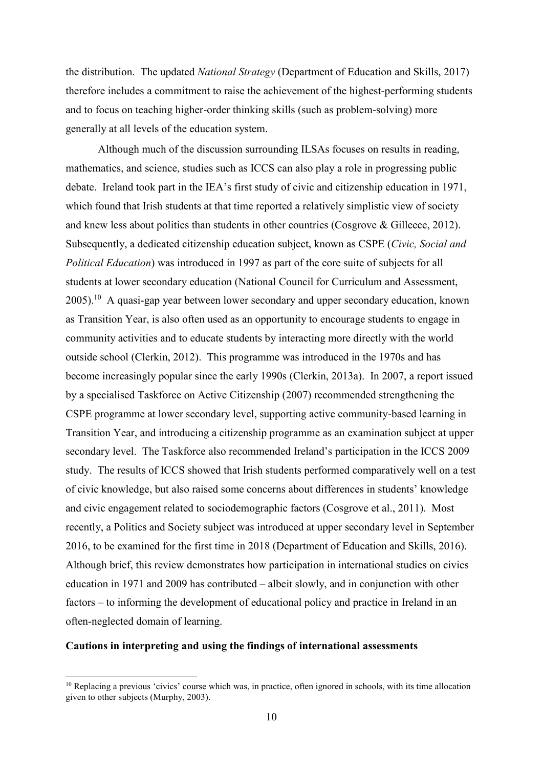the distribution. The updated *National Strategy* (Department of Education and Skills, 2017) therefore includes a commitment to raise the achievement of the highest-performing students and to focus on teaching higher-order thinking skills (such as problem-solving) more generally at all levels of the education system.

Although much of the discussion surrounding ILSAs focuses on results in reading, mathematics, and science, studies such as ICCS can also play a role in progressing public debate. Ireland took part in the IEA's first study of civic and citizenship education in 1971, which found that Irish students at that time reported a relatively simplistic view of society and knew less about politics than students in other countries (Cosgrove & Gilleece, 2012). Subsequently, a dedicated citizenship education subject, known as CSPE (*Civic, Social and Political Education*) was introduced in 1997 as part of the core suite of subjects for all students at lower secondary education (National Council for Curriculum and Assessment,  $2005$ ).<sup>10</sup> A quasi-gap year between lower secondary and upper secondary education, known as Transition Year, is also often used as an opportunity to encourage students to engage in community activities and to educate students by interacting more directly with the world outside school (Clerkin, 2012). This programme was introduced in the 1970s and has become increasingly popular since the early 1990s (Clerkin, 2013a). In 2007, a report issued by a specialised Taskforce on Active Citizenship (2007) recommended strengthening the CSPE programme at lower secondary level, supporting active community-based learning in Transition Year, and introducing a citizenship programme as an examination subject at upper secondary level. The Taskforce also recommended Ireland's participation in the ICCS 2009 study. The results of ICCS showed that Irish students performed comparatively well on a test of civic knowledge, but also raised some concerns about differences in students' knowledge and civic engagement related to sociodemographic factors (Cosgrove et al., 2011). Most recently, a Politics and Society subject was introduced at upper secondary level in September 2016, to be examined for the first time in 2018 (Department of Education and Skills, 2016). Although brief, this review demonstrates how participation in international studies on civics education in 1971 and 2009 has contributed – albeit slowly, and in conjunction with other factors – to informing the development of educational policy and practice in Ireland in an often-neglected domain of learning.

# **Cautions in interpreting and using the findings of international assessments**

<u>.</u>

<sup>&</sup>lt;sup>10</sup> Replacing a previous 'civics' course which was, in practice, often ignored in schools, with its time allocation given to other subjects (Murphy, 2003).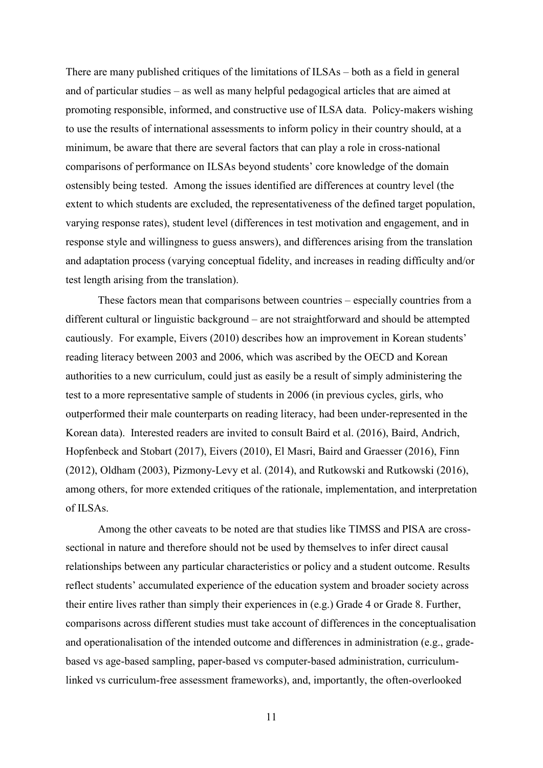There are many published critiques of the limitations of ILSAs – both as a field in general and of particular studies – as well as many helpful pedagogical articles that are aimed at promoting responsible, informed, and constructive use of ILSA data. Policy-makers wishing to use the results of international assessments to inform policy in their country should, at a minimum, be aware that there are several factors that can play a role in cross-national comparisons of performance on ILSAs beyond students' core knowledge of the domain ostensibly being tested. Among the issues identified are differences at country level (the extent to which students are excluded, the representativeness of the defined target population, varying response rates), student level (differences in test motivation and engagement, and in response style and willingness to guess answers), and differences arising from the translation and adaptation process (varying conceptual fidelity, and increases in reading difficulty and/or test length arising from the translation).

These factors mean that comparisons between countries – especially countries from a different cultural or linguistic background – are not straightforward and should be attempted cautiously. For example, Eivers (2010) describes how an improvement in Korean students' reading literacy between 2003 and 2006, which was ascribed by the OECD and Korean authorities to a new curriculum, could just as easily be a result of simply administering the test to a more representative sample of students in 2006 (in previous cycles, girls, who outperformed their male counterparts on reading literacy, had been under-represented in the Korean data). Interested readers are invited to consult Baird et al. (2016), Baird, Andrich, Hopfenbeck and Stobart (2017), Eivers (2010), El Masri, Baird and Graesser (2016), Finn (2012), Oldham (2003), Pizmony-Levy et al. (2014), and Rutkowski and Rutkowski (2016), among others, for more extended critiques of the rationale, implementation, and interpretation of ILSAs.

Among the other caveats to be noted are that studies like TIMSS and PISA are crosssectional in nature and therefore should not be used by themselves to infer direct causal relationships between any particular characteristics or policy and a student outcome. Results reflect students' accumulated experience of the education system and broader society across their entire lives rather than simply their experiences in (e.g.) Grade 4 or Grade 8. Further, comparisons across different studies must take account of differences in the conceptualisation and operationalisation of the intended outcome and differences in administration (e.g., gradebased vs age-based sampling, paper-based vs computer-based administration, curriculumlinked vs curriculum-free assessment frameworks), and, importantly, the often-overlooked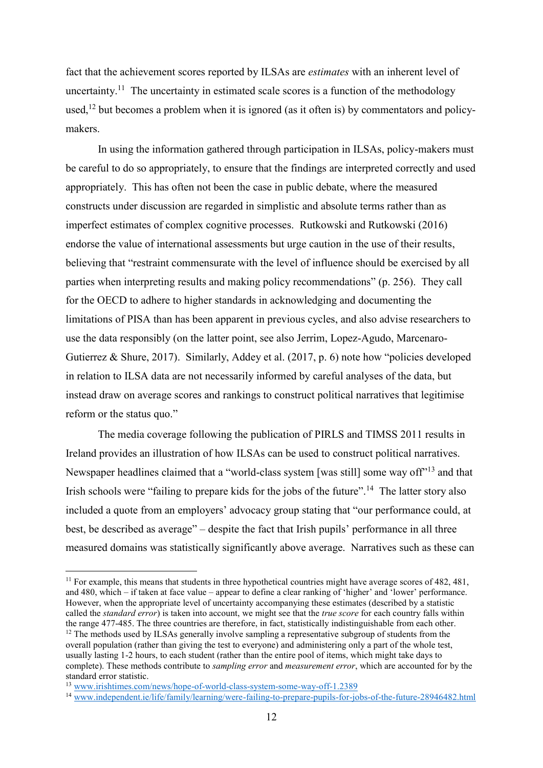fact that the achievement scores reported by ILSAs are *estimates* with an inherent level of uncertainty.<sup>11</sup> The uncertainty in estimated scale scores is a function of the methodology used,<sup>12</sup> but becomes a problem when it is ignored (as it often is) by commentators and policymakers.

In using the information gathered through participation in ILSAs, policy-makers must be careful to do so appropriately, to ensure that the findings are interpreted correctly and used appropriately. This has often not been the case in public debate, where the measured constructs under discussion are regarded in simplistic and absolute terms rather than as imperfect estimates of complex cognitive processes. Rutkowski and Rutkowski (2016) endorse the value of international assessments but urge caution in the use of their results, believing that "restraint commensurate with the level of influence should be exercised by all parties when interpreting results and making policy recommendations" (p. 256). They call for the OECD to adhere to higher standards in acknowledging and documenting the limitations of PISA than has been apparent in previous cycles, and also advise researchers to use the data responsibly (on the latter point, see also Jerrim, Lopez-Agudo, Marcenaro-Gutierrez & Shure, 2017). Similarly, Addey et al. (2017, p. 6) note how "policies developed in relation to ILSA data are not necessarily informed by careful analyses of the data, but instead draw on average scores and rankings to construct political narratives that legitimise reform or the status quo."

The media coverage following the publication of PIRLS and TIMSS 2011 results in Ireland provides an illustration of how ILSAs can be used to construct political narratives. Newspaper headlines claimed that a "world-class system [was still] some way off<sup>"13</sup> and that Irish schools were "failing to prepare kids for the jobs of the future".<sup>14</sup> The latter story also included a quote from an employers' advocacy group stating that "our performance could, at best, be described as average" – despite the fact that Irish pupils' performance in all three measured domains was statistically significantly above average. Narratives such as these can

<sup>&</sup>lt;sup>11</sup> For example, this means that students in three hypothetical countries might have average scores of 482, 481, and 480, which – if taken at face value – appear to define a clear ranking of 'higher' and 'lower' performance. However, when the appropriate level of uncertainty accompanying these estimates (described by a statistic called the *standard error*) is taken into account, we might see that the *true score* for each country falls within the range 477-485. The three countries are therefore, in fact, statistically indistinguishable from each other.

<sup>&</sup>lt;sup>12</sup> The methods used by ILSAs generally involve sampling a representative subgroup of students from the overall population (rather than giving the test to everyone) and administering only a part of the whole test, usually lasting 1-2 hours, to each student (rather than the entire pool of items, which might take days to complete). These methods contribute to *sampling error* and *measurement error*, which are accounted for by the standard error statistic.

<sup>13</sup> [www.irishtimes.com/news/hope-of-world-class-system-some-way-off-1.2389](https://www.irishtimes.com/news/hope-of-world-class-system-some-way-off-1.2389)

<sup>&</sup>lt;sup>14</sup> [www.independent.ie/life/family/learning/were-failing-to-prepare-pupils-for-jobs-of-the-future-28946482.html](http://www.independent.ie/life/family/learning/were-failing-to-prepare-pupils-for-jobs-of-the-future-28946482.html)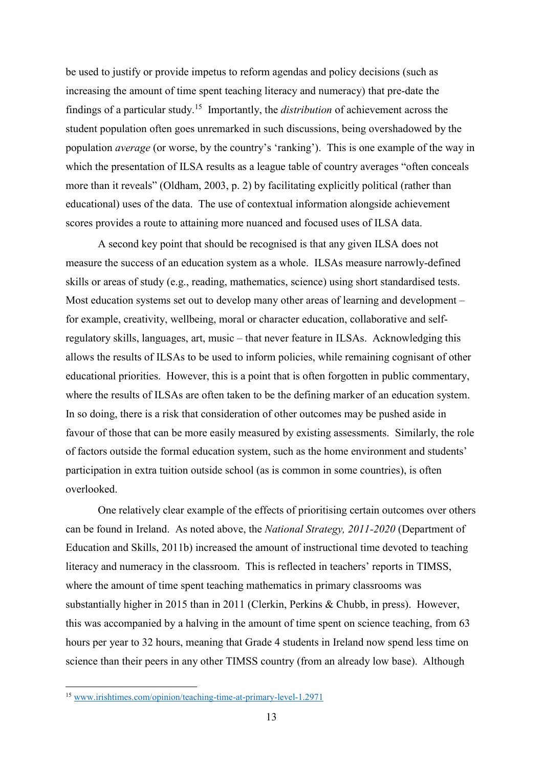be used to justify or provide impetus to reform agendas and policy decisions (such as increasing the amount of time spent teaching literacy and numeracy) that pre-date the findings of a particular study.<sup>15</sup> Importantly, the *distribution* of achievement across the student population often goes unremarked in such discussions, being overshadowed by the population *average* (or worse, by the country's 'ranking'). This is one example of the way in which the presentation of ILSA results as a league table of country averages "often conceals" more than it reveals" (Oldham, 2003, p. 2) by facilitating explicitly political (rather than educational) uses of the data. The use of contextual information alongside achievement scores provides a route to attaining more nuanced and focused uses of ILSA data.

A second key point that should be recognised is that any given ILSA does not measure the success of an education system as a whole. ILSAs measure narrowly-defined skills or areas of study (e.g., reading, mathematics, science) using short standardised tests. Most education systems set out to develop many other areas of learning and development – for example, creativity, wellbeing, moral or character education, collaborative and selfregulatory skills, languages, art, music – that never feature in ILSAs. Acknowledging this allows the results of ILSAs to be used to inform policies, while remaining cognisant of other educational priorities. However, this is a point that is often forgotten in public commentary, where the results of ILSAs are often taken to be the defining marker of an education system. In so doing, there is a risk that consideration of other outcomes may be pushed aside in favour of those that can be more easily measured by existing assessments. Similarly, the role of factors outside the formal education system, such as the home environment and students' participation in extra tuition outside school (as is common in some countries), is often overlooked.

One relatively clear example of the effects of prioritising certain outcomes over others can be found in Ireland. As noted above, the *National Strategy, 2011-2020* (Department of Education and Skills, 2011b) increased the amount of instructional time devoted to teaching literacy and numeracy in the classroom. This is reflected in teachers' reports in TIMSS, where the amount of time spent teaching mathematics in primary classrooms was substantially higher in 2015 than in 2011 (Clerkin, Perkins & Chubb, in press). However, this was accompanied by a halving in the amount of time spent on science teaching, from 63 hours per year to 32 hours, meaning that Grade 4 students in Ireland now spend less time on science than their peers in any other TIMSS country (from an already low base). Although

<sup>&</sup>lt;sup>15</sup> [www.irishtimes.com/opinion/teaching-time-at-primary-level-1.2971](https://www.irishtimes.com/opinion/teaching-time-at-primary-level-1.2971)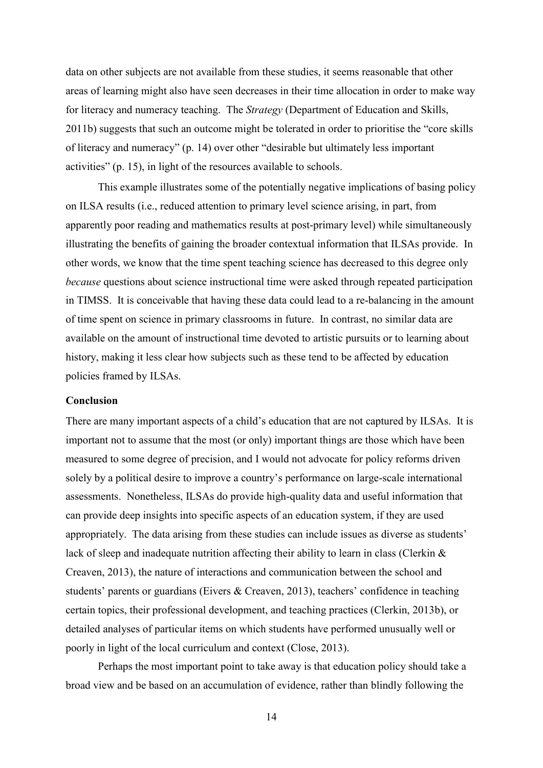data on other subjects are not available from these studies, it seems reasonable that other areas of learning might also have seen decreases in their time allocation in order to make way for literacy and numeracy teaching. The *Strategy* (Department of Education and Skills, 2011b) suggests that such an outcome might be tolerated in order to prioritise the "core skills of literacy and numeracy" (p. 14) over other "desirable but ultimately less important activities" (p. 15), in light of the resources available to schools.

This example illustrates some of the potentially negative implications of basing policy on ILSA results (i.e., reduced attention to primary level science arising, in part, from apparently poor reading and mathematics results at post-primary level) while simultaneously illustrating the benefits of gaining the broader contextual information that ILSAs provide. In other words, we know that the time spent teaching science has decreased to this degree only *because* questions about science instructional time were asked through repeated participation in TIMSS. It is conceivable that having these data could lead to a re-balancing in the amount of time spent on science in primary classrooms in future. In contrast, no similar data are available on the amount of instructional time devoted to artistic pursuits or to learning about history, making it less clear how subjects such as these tend to be affected by education policies framed by ILSAs.

## **Conclusion**

There are many important aspects of a child's education that are not captured by ILSAs. It is important not to assume that the most (or only) important things are those which have been measured to some degree of precision, and I would not advocate for policy reforms driven solely by a political desire to improve a country's performance on large-scale international assessments. Nonetheless, ILSAs do provide high-quality data and useful information that can provide deep insights into specific aspects of an education system, if they are used appropriately. The data arising from these studies can include issues as diverse as students' lack of sleep and inadequate nutrition affecting their ability to learn in class (Clerkin & Creaven, 2013), the nature of interactions and communication between the school and students' parents or guardians (Eivers & Creaven, 2013), teachers' confidence in teaching certain topics, their professional development, and teaching practices (Clerkin, 2013b), or detailed analyses of particular items on which students have performed unusually well or poorly in light of the local curriculum and context (Close, 2013).

Perhaps the most important point to take away is that education policy should take a broad view and be based on an accumulation of evidence, rather than blindly following the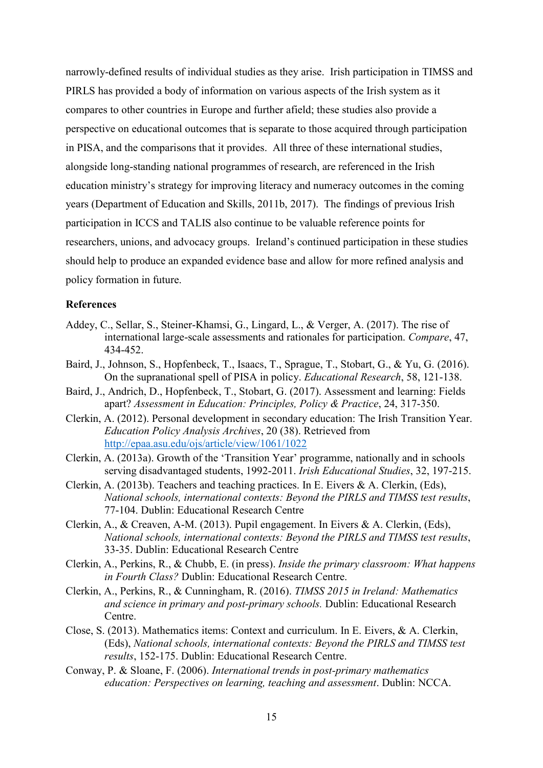narrowly-defined results of individual studies as they arise. Irish participation in TIMSS and PIRLS has provided a body of information on various aspects of the Irish system as it compares to other countries in Europe and further afield; these studies also provide a perspective on educational outcomes that is separate to those acquired through participation in PISA, and the comparisons that it provides. All three of these international studies, alongside long-standing national programmes of research, are referenced in the Irish education ministry's strategy for improving literacy and numeracy outcomes in the coming years (Department of Education and Skills, 2011b, 2017). The findings of previous Irish participation in ICCS and TALIS also continue to be valuable reference points for researchers, unions, and advocacy groups. Ireland's continued participation in these studies should help to produce an expanded evidence base and allow for more refined analysis and policy formation in future.

### **References**

- Addey, C., Sellar, S., Steiner-Khamsi, G., Lingard, L., & Verger, A. (2017). The rise of international large-scale assessments and rationales for participation. *Compare*, 47, 434-452.
- Baird, J., Johnson, S., Hopfenbeck, T., Isaacs, T., Sprague, T., Stobart, G., & Yu, G. (2016). On the supranational spell of PISA in policy. *Educational Research*, 58, 121-138.
- Baird, J., Andrich, D., Hopfenbeck, T., Stobart, G. (2017). Assessment and learning: Fields apart? *Assessment in Education: Principles, Policy & Practice*, 24, 317-350.
- Clerkin, A. (2012). Personal development in secondary education: The Irish Transition Year. *Education Policy Analysis Archives*, 20 (38). Retrieved from <http://epaa.asu.edu/ojs/article/view/1061/1022>
- Clerkin, A. (2013a). Growth of the 'Transition Year' programme, nationally and in schools serving disadvantaged students, 1992-2011. *Irish Educational Studies*, 32, 197-215.
- Clerkin, A. (2013b). Teachers and teaching practices. In E. Eivers & A. Clerkin, (Eds), *National schools, international contexts: Beyond the PIRLS and TIMSS test results*, 77-104. Dublin: Educational Research Centre
- Clerkin, A., & Creaven, A-M. (2013). Pupil engagement. In Eivers & A. Clerkin, (Eds), *National schools, international contexts: Beyond the PIRLS and TIMSS test results*, 33-35. Dublin: Educational Research Centre
- Clerkin, A., Perkins, R., & Chubb, E. (in press). *Inside the primary classroom: What happens in Fourth Class?* Dublin: Educational Research Centre.
- Clerkin, A., Perkins, R., & Cunningham, R. (2016). *TIMSS 2015 in Ireland: Mathematics and science in primary and post-primary schools.* Dublin: Educational Research Centre.
- Close, S. (2013). Mathematics items: Context and curriculum. In E. Eivers, & A. Clerkin, (Eds), *National schools, international contexts: Beyond the PIRLS and TIMSS test results*, 152-175. Dublin: Educational Research Centre.
- Conway, P. & Sloane, F. (2006). *International trends in post-primary mathematics education: Perspectives on learning, teaching and assessment*. Dublin: NCCA.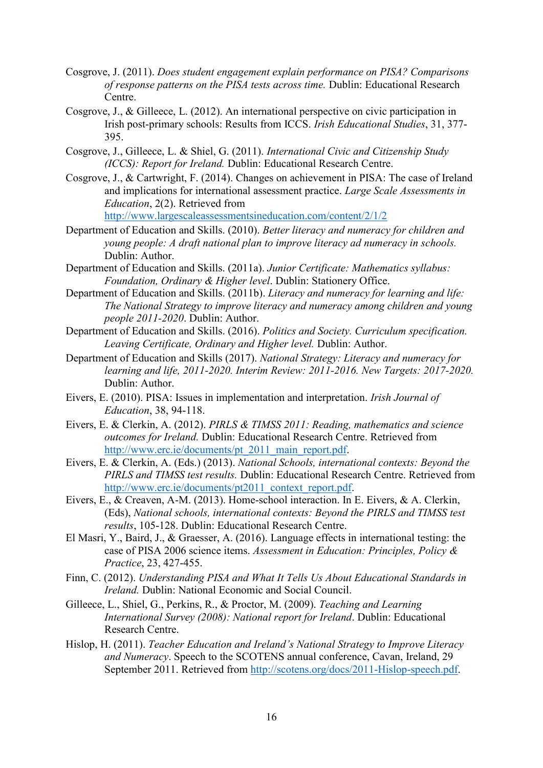- Cosgrove, J. (2011). *Does student engagement explain performance on PISA? Comparisons of response patterns on the PISA tests across time.* Dublin: Educational Research Centre.
- Cosgrove, J., & Gilleece, L. (2012). An international perspective on civic participation in Irish post-primary schools: Results from ICCS. *Irish Educational Studies*, 31, 377- 395.
- Cosgrove, J., Gilleece, L. & Shiel, G. (2011). *International Civic and Citizenship Study (ICCS): Report for Ireland.* Dublin: Educational Research Centre.
- Cosgrove, J., & Cartwright, F. (2014). Changes on achievement in PISA: The case of Ireland and implications for international assessment practice. *Large Scale Assessments in Education*, 2(2). Retrieved from <http://www.largescaleassessmentsineducation.com/content/2/1/2>
- Department of Education and Skills. (2010). *Better literacy and numeracy for children and young people: A draft national plan to improve literacy ad numeracy in schools.*  Dublin: Author.
- Department of Education and Skills. (2011a). *Junior Certificate: Mathematics syllabus: Foundation, Ordinary & Higher level*. Dublin: Stationery Office.
- Department of Education and Skills. (2011b). *Literacy and numeracy for learning and life: The National Strategy to improve literacy and numeracy among children and young people 2011-2020*. Dublin: Author.
- Department of Education and Skills. (2016). *Politics and Society. Curriculum specification. Leaving Certificate, Ordinary and Higher level.* Dublin: Author.
- Department of Education and Skills (2017). *National Strategy: Literacy and numeracy for learning and life, 2011-2020. Interim Review: 2011-2016. New Targets: 2017-2020.* Dublin: Author.
- Eivers, E. (2010). PISA: Issues in implementation and interpretation. *Irish Journal of Education*, 38, 94-118.
- Eivers, E. & Clerkin, A. (2012). *PIRLS & TIMSS 2011: Reading, mathematics and science outcomes for Ireland.* Dublin: Educational Research Centre. Retrieved from [http://www.erc.ie/documents/pt\\_2011\\_main\\_report.pdf.](http://www.erc.ie/documents/pt_2011_main_report.pdf)
- Eivers, E. & Clerkin, A. (Eds.) (2013). *National Schools, international contexts: Beyond the PIRLS and TIMSS test results.* Dublin: Educational Research Centre. Retrieved from [http://www.erc.ie/documents/pt2011\\_context\\_report.pdf.](http://www.erc.ie/documents/pt2011_context_report.pdf)
- Eivers, E., & Creaven, A-M. (2013). Home-school interaction. In E. Eivers, & A. Clerkin, (Eds), *National schools, international contexts: Beyond the PIRLS and TIMSS test results*, 105-128. Dublin: Educational Research Centre.
- El Masri, Y., Baird, J., & Graesser, A. (2016). Language effects in international testing: the case of PISA 2006 science items. *Assessment in Education: Principles, Policy & Practice*, 23, 427-455.
- Finn, C. (2012). *Understanding PISA and What It Tells Us About Educational Standards in Ireland.* Dublin: National Economic and Social Council.
- Gilleece, L., Shiel, G., Perkins, R., & Proctor, M. (2009). *Teaching and Learning International Survey (2008): National report for Ireland*. Dublin: Educational Research Centre.
- Hislop, H. (2011). *Teacher Education and Ireland's National Strategy to Improve Literacy and Numeracy*. Speech to the SCOTENS annual conference, Cavan, Ireland, 29 September 2011. Retrieved from [http://scotens.org/docs/2011-Hislop-speech.pdf.](http://scotens.org/docs/2011-Hislop-speech.pdf)